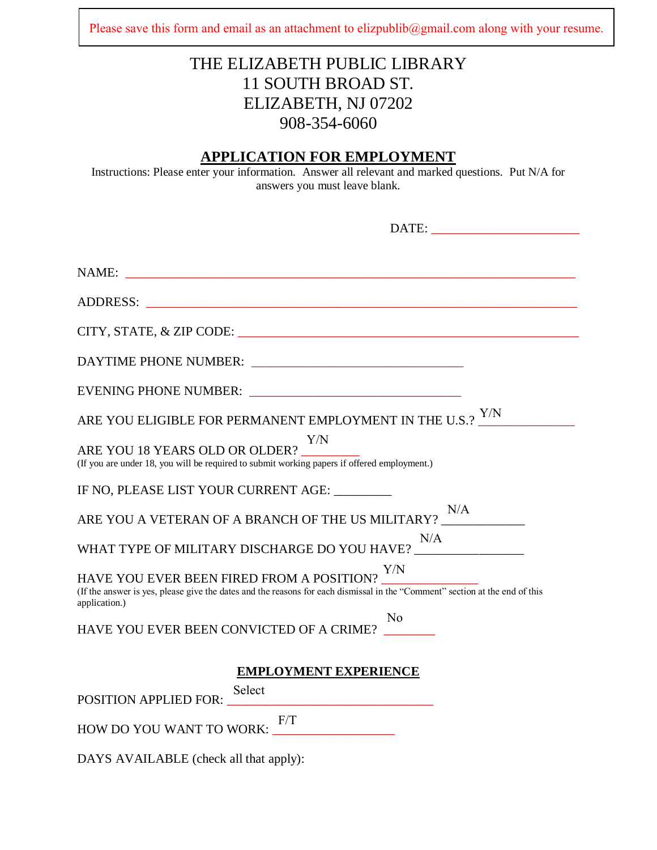Please save this form and email as an attachment to elizpublib@gmail.com along with your resume.

## THE ELIZABETH PUBLIC LIBRARY 11 SOUTH BROAD ST. ELIZABETH, NJ 07202 908-354-6060

### **APPLICATION FOR EMPLOYMENT**

Instructions: Please enter your information. Answer all relevant and marked questions. Put N/A for answers you must leave blank.

| NAME:<br><u> 1999 - Jan James James James James James James James James James James James James James James James James J</u>                                                                                                         |
|---------------------------------------------------------------------------------------------------------------------------------------------------------------------------------------------------------------------------------------|
| ADDRESS:                                                                                                                                                                                                                              |
|                                                                                                                                                                                                                                       |
| DAYTIME PHONE NUMBER: University of the contract of the contract of the contract of the contract of the contract of the contract of the contract of the contract of the contract of the contract of the contract of the contra        |
| EVENING PHONE NUMBER:                                                                                                                                                                                                                 |
| ARE YOU ELIGIBLE FOR PERMANENT EMPLOYMENT IN THE U.S.? Y/N                                                                                                                                                                            |
| Y/N<br>ARE YOU 18 YEARS OLD OR OLDER?<br>(If you are under 18, you will be required to submit working papers if offered employment.)                                                                                                  |
| IF NO, PLEASE LIST YOUR CURRENT AGE: ________                                                                                                                                                                                         |
| N/A<br>ARE YOU A VETERAN OF A BRANCH OF THE US MILITARY?                                                                                                                                                                              |
| N/A<br>WHAT TYPE OF MILITARY DISCHARGE DO YOU HAVE? VALUE ALLEADED AND THE VEHICLE ASSESSMENT OF MALLET AND THE VEHICLE AT A UP AND THE VEHICLE AT A UP AND THE VEHICLE AT A UP AND THE VEHICLE AT A UP AND THE VEHICLE AT A UP AND T |
| Y/N<br>HAVE YOU EVER BEEN FIRED FROM A POSITION?<br>(If the answer is yes, please give the dates and the reasons for each dismissal in the "Comment" section at the end of this<br>application.)                                      |
| N <sub>0</sub><br>HAVE YOU EVER BEEN CONVICTED OF A CRIME?                                                                                                                                                                            |
| <b>EMPLOYMENT EXPERIENCE</b><br>Select<br>POSITION APPLIED FOR:                                                                                                                                                                       |
| F/T<br>HOW DO YOU WANT TO WORK:                                                                                                                                                                                                       |

DAYS AVAILABLE (check all that apply):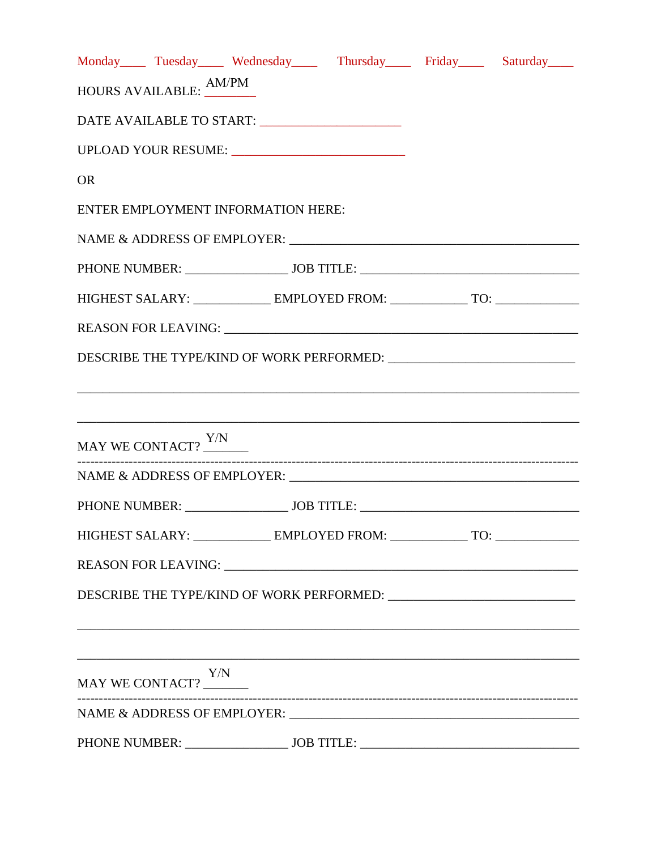|           |                                                |  | Monday Tuesday Wednesday Thursday Friday Saturday                                |
|-----------|------------------------------------------------|--|----------------------------------------------------------------------------------|
|           | HOURS AVAILABLE: AM/PM                         |  |                                                                                  |
|           | DATE AVAILABLE TO START: _____________________ |  |                                                                                  |
|           | UPLOAD YOUR RESUME: UPLOAD YOUR RESUME:        |  |                                                                                  |
| <b>OR</b> |                                                |  |                                                                                  |
|           | ENTER EMPLOYMENT INFORMATION HERE:             |  |                                                                                  |
|           |                                                |  |                                                                                  |
|           |                                                |  |                                                                                  |
|           |                                                |  | HIGHEST SALARY: _____________ EMPLOYED FROM: ______________ TO: ________________ |
|           |                                                |  |                                                                                  |
|           |                                                |  | DESCRIBE THE TYPE/KIND OF WORK PERFORMED: ________________________________       |
|           |                                                |  |                                                                                  |
|           |                                                |  |                                                                                  |
|           | MAY WE CONTACT? Y/N                            |  |                                                                                  |
|           |                                                |  |                                                                                  |
|           |                                                |  |                                                                                  |
|           |                                                |  | HIGHEST SALARY: _____________ EMPLOYED FROM: ______________ TO: ________________ |
|           |                                                |  |                                                                                  |
|           |                                                |  |                                                                                  |
|           |                                                |  |                                                                                  |
|           |                                                |  |                                                                                  |
|           | MAY WE CONTACT? $\underbrace{\hbox{Y/N}}$      |  |                                                                                  |
|           |                                                |  |                                                                                  |
|           | PHONE NUMBER: JOB TITLE:                       |  |                                                                                  |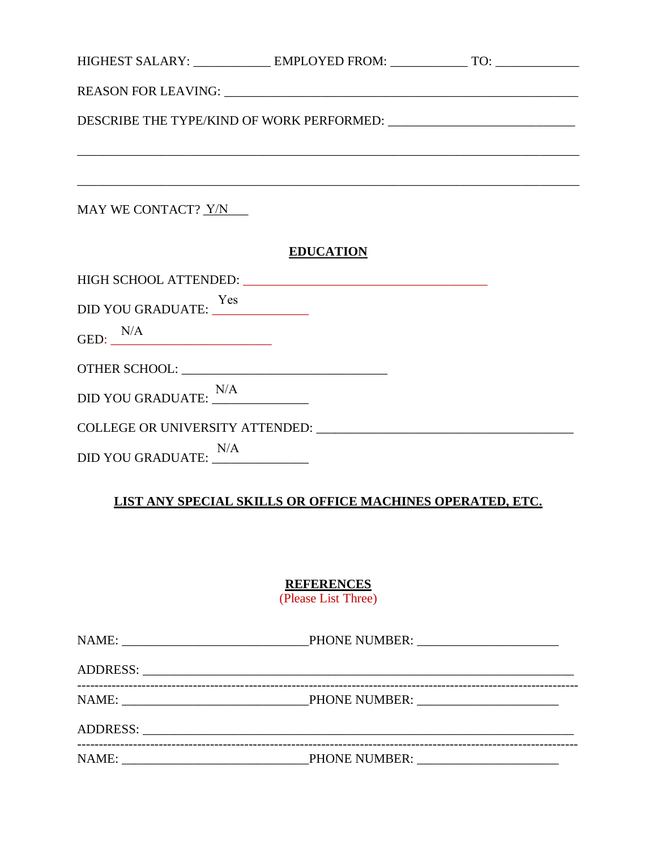| HIGHEST SALARY: _____________ EMPLOYED FROM: _____________ TO: _________________                        |                  |  |
|---------------------------------------------------------------------------------------------------------|------------------|--|
|                                                                                                         |                  |  |
|                                                                                                         |                  |  |
| ,我们也不能在这里的时候,我们也不能在这里的时候,我们也不能会在这里的时候,我们也不能会在这里的时候,我们也不能会在这里的时候,我们也不能会在这里的时候,我们也不                       |                  |  |
| ,我们也不会有什么。""我们的人,我们也不会有什么?""我们的人,我们也不会有什么?""我们的人,我们也不会有什么?""我们的人,我们也不会有什么?""我们的人<br>MAY WE CONTACT? Y/N |                  |  |
|                                                                                                         | <b>EDUCATION</b> |  |
|                                                                                                         |                  |  |
| DID YOU GRADUATE: <u>Yes</u>                                                                            |                  |  |
| GED: $N/A$                                                                                              |                  |  |
|                                                                                                         |                  |  |
| $\begin{tabular}{l} DID YOU GRADUATE: \underline{\hbox{N/A}}\\ \end{tabular}$                           |                  |  |
|                                                                                                         |                  |  |
| DID YOU GRADUATE: <u>N/A</u>                                                                            |                  |  |

## LIST ANY SPECIAL SKILLS OR OFFICE MACHINES OPERATED, ETC.

# **REFERENCES**<br>(Please List Three)

| NAME: |  |
|-------|--|